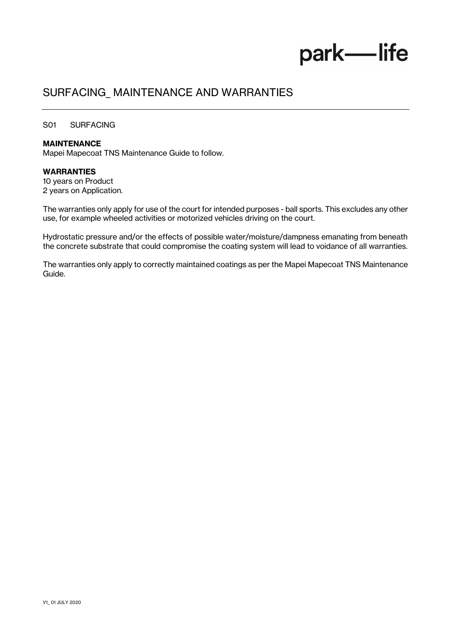# park-life

### SURFACING\_ MAINTENANCE AND WARRANTIES

#### S01 SURFACING

#### MAINTENANCE

Mapei Mapecoat TNS Maintenance Guide to follow.

#### WARRANTIES

10 years on Product 2 years on Application.

The warranties only apply for use of the court for intended purposes - ball sports. This excludes any other use, for example wheeled activities or motorized vehicles driving on the court.

Hydrostatic pressure and/or the effects of possible water/moisture/dampness emanating from beneath the concrete substrate that could compromise the coating system will lead to voidance of all warranties.

The warranties only apply to correctly maintained coatings as per the Mapei Mapecoat TNS Maintenance Guide.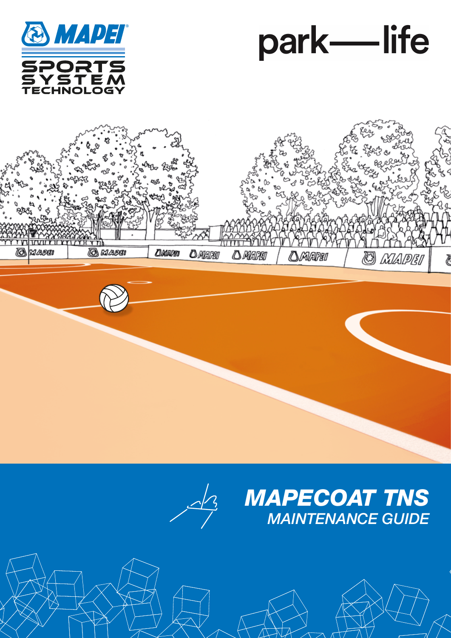







## *MAPECOAT TNS MAINTENANCE GUIDE*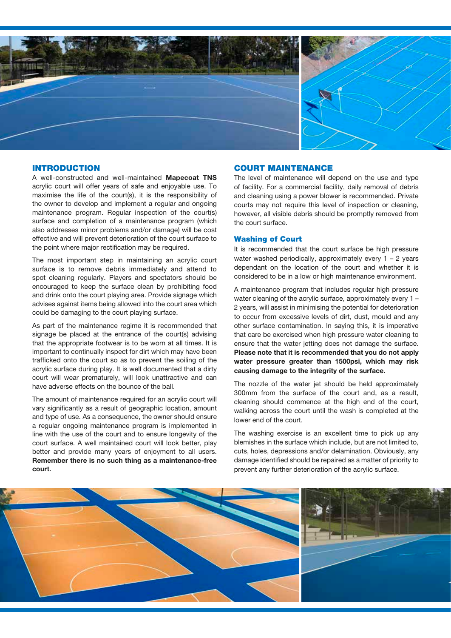

#### INTRODUCTION

A well-constructed and well-maintained Mapecoat TNS acrylic court will offer years of safe and enjoyable use. To maximise the life of the court(s), it is the responsibility of the owner to develop and implement a regular and ongoing maintenance program. Regular inspection of the court(s) surface and completion of a maintenance program (which also addresses minor problems and/or damage) will be cost effective and will prevent deterioration of the court surface to the point where major rectification may be required.

The most important step in maintaining an acrylic court surface is to remove debris immediately and attend to spot cleaning regularly. Players and spectators should be encouraged to keep the surface clean by prohibiting food and drink onto the court playing area. Provide signage which advises against items being allowed into the court area which could be damaging to the court playing surface.

As part of the maintenance regime it is recommended that signage be placed at the entrance of the court(s) advising that the appropriate footwear is to be worn at all times. It is important to continually inspect for dirt which may have been trafficked onto the court so as to prevent the soiling of the acrylic surface during play. It is well documented that a dirty court will wear prematurely, will look unattractive and can have adverse effects on the bounce of the ball.

The amount of maintenance required for an acrylic court will vary significantly as a result of geographic location, amount and type of use. As a consequence, the owner should ensure a regular ongoing maintenance program is implemented in line with the use of the court and to ensure longevity of the court surface. A well maintained court will look better, play better and provide many years of enjoyment to all users. Remember there is no such thing as a maintenance-free court.

#### COURT MAINTENANCE

The level of maintenance will depend on the use and type of facility. For a commercial facility, daily removal of debris and cleaning using a power blower is recommended. Private courts may not require this level of inspection or cleaning, however, all visible debris should be promptly removed from the court surface.

#### Washing of Court

It is recommended that the court surface be high pressure water washed periodically, approximately every  $1 - 2$  years dependant on the location of the court and whether it is considered to be in a low or high maintenance environment.

A maintenance program that includes regular high pressure water cleaning of the acrylic surface, approximately every 1 – 2 years, will assist in minimising the potential for deterioration to occur from excessive levels of dirt, dust, mould and any other surface contamination. In saying this, it is imperative that care be exercised when high pressure water cleaning to ensure that the water jetting does not damage the surface. Please note that it is recommended that you do not apply water pressure greater than 1500psi, which may risk causing damage to the integrity of the surface.

The nozzle of the water jet should be held approximately 300mm from the surface of the court and, as a result, cleaning should commence at the high end of the court, walking across the court until the wash is completed at the lower end of the court.

The washing exercise is an excellent time to pick up any blemishes in the surface which include, but are not limited to, cuts, holes, depressions and/or delamination. Obviously, any damage identified should be repaired as a matter of priority to prevent any further deterioration of the acrylic surface.